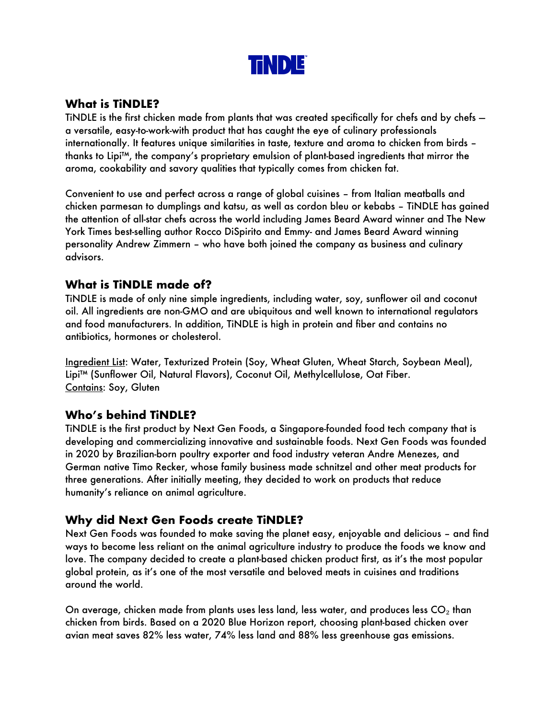

## **What is TiNDLE?**

TiNDLE is the first chicken made from plants that was created specifically for chefs and by chefs a versatile, easy-to-work-with product that has caught the eye of culinary professionals internationally. It features unique similarities in taste, texture and aroma to chicken from birds – thanks to Lipi™, the company's proprietary emulsion of plant-based ingredients that mirror the aroma, cookability and savory qualities that typically comes from chicken fat.

Convenient to use and perfect across a range of global cuisines – from Italian meatballs and chicken parmesan to dumplings and katsu, as well as cordon bleu or kebabs – TiNDLE has gained the attention of all-star chefs across the world including James Beard Award winner and The New York Times best-selling author Rocco DiSpirito and Emmy- and James Beard Award winning personality Andrew Zimmern – who have both joined the company as business and culinary advisors.

#### **What is TiNDLE made of?**

TiNDLE is made of only nine simple ingredients, including water, soy, sunflower oil and coconut oil. All ingredients are non-GMO and are ubiquitous and well known to international regulators and food manufacturers. In addition, TiNDLE is high in protein and fiber and contains no antibiotics, hormones or cholesterol.

Ingredient List: Water, Texturized Protein (Soy, Wheat Gluten, Wheat Starch, Soybean Meal), Lipi™ (Sunflower Oil, Natural Flavors), Coconut Oil, Methylcellulose, Oat Fiber. Contains: Soy, Gluten

# **Who's behind TiNDLE?**

TiNDLE is the first product by Next Gen Foods, a Singapore-founded food tech company that is developing and commercializing innovative and sustainable foods. Next Gen Foods was founded in 2020 by Brazilian-born poultry exporter and food industry veteran Andre Menezes, and German native Timo Recker, whose family business made schnitzel and other meat products for three generations. After initially meeting, they decided to work on products that reduce humanity's reliance on animal agriculture.

# **Why did Next Gen Foods create TiNDLE?**

Next Gen Foods was founded to make saving the planet easy, enjoyable and delicious – and find ways to become less reliant on the animal agriculture industry to produce the foods we know and love. The company decided to create a plant-based chicken product first, as it's the most popular global protein, as it's one of the most versatile and beloved meats in cuisines and traditions around the world.

On average, chicken made from plants uses less land, less water, and produces less  $CO<sub>2</sub>$  than chicken from birds. Based on a 2020 Blue Horizon report, choosing plant-based chicken over avian meat saves 82% less water, 74% less land and 88% less greenhouse gas emissions.